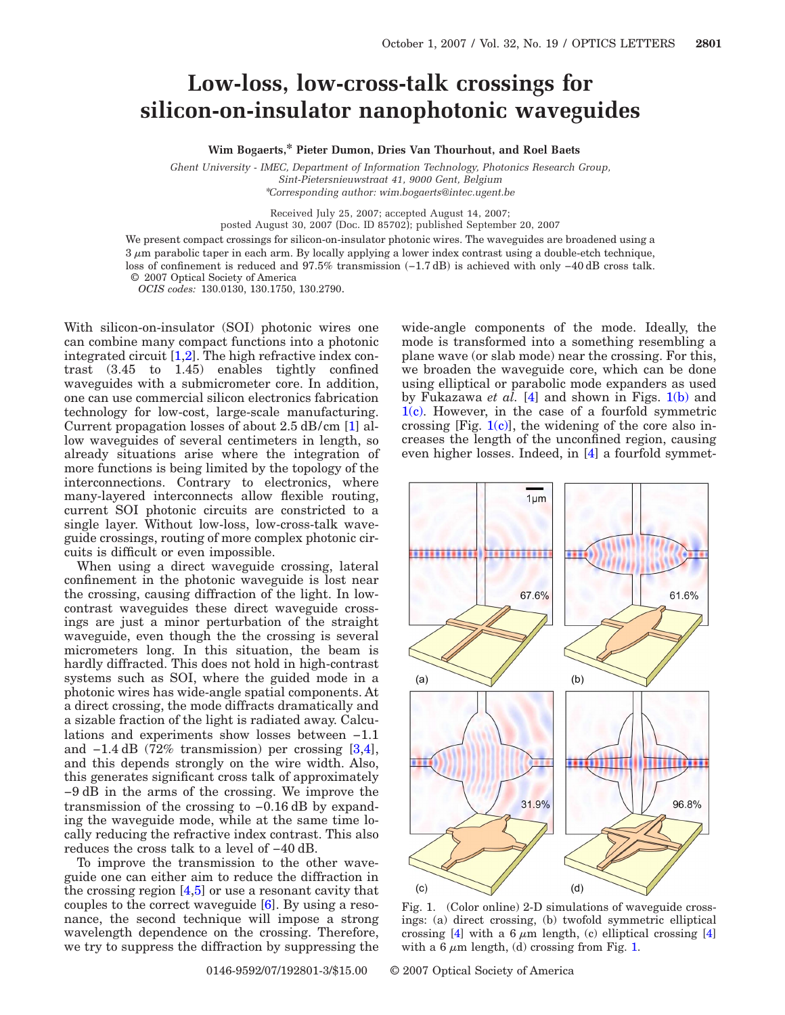## **Low-loss, low-cross-talk crossings for silicon-on-insulator nanophotonic waveguides**

**Wim Bogaerts,\* Pieter Dumon, Dries Van Thourhout, and Roel Baets**

*Ghent University - IMEC, Department of Information Technology, Photonics Research Group, Sint-Pietersnieuwstraat 41, 9000 Gent, Belgium* \**Corresponding author: wim.bogaerts@intec.ugent.be*

Received July 25, 2007; accepted August 14, 2007;

posted August 30, 2007 (Doc. ID 85702); published September 20, 2007

We present compact crossings for silicon-on-insulator photonic wires. The waveguides are broadened using a  $3 \mu$ m parabolic taper in each arm. By locally applying a lower index contrast using a double-etch technique, loss of confinement is reduced and 97.5% transmission (-1.7 dB) is achieved with only -40 dB cross talk. © 2007 Optical Society of America

*OCIS codes:* 130.0130, 130.1750, 130.2790.

With silicon-on-insulator (SOI) photonic wires one can combine many compact functions into a photonic integrated circuit [\[1,](#page-2-0)[2\]](#page-2-1). The high refractive index contrast (3.45 to 1.45) enables tightly confined waveguides with a submicrometer core. In addition, one can use commercial silicon electronics fabrication technology for low-cost, large-scale manufacturing. Current propagation losses of about 2.5 dB/cm [\[1\]](#page-2-0) allow waveguides of several centimeters in length, so already situations arise where the integration of more functions is being limited by the topology of the interconnections. Contrary to electronics, where many-layered interconnects allow flexible routing, current SOI photonic circuits are constricted to a single layer. Without low-loss, low-cross-talk waveguide crossings, routing of more complex photonic circuits is difficult or even impossible.

When using a direct waveguide crossing, lateral confinement in the photonic waveguide is lost near the crossing, causing diffraction of the light. In lowcontrast waveguides these direct waveguide crossings are just a minor perturbation of the straight waveguide, even though the the crossing is several micrometers long. In this situation, the beam is hardly diffracted. This does not hold in high-contrast systems such as SOI, where the guided mode in a photonic wires has wide-angle spatial components. At a direct crossing, the mode diffracts dramatically and a sizable fraction of the light is radiated away. Calculations and experiments show losses between −1.1 and −1.4 dB (72% transmission) per crossing [\[3](#page-2-2)[,4\]](#page-2-3), and this depends strongly on the wire width. Also, this generates significant cross talk of approximately −9 dB in the arms of the crossing. We improve the transmission of the crossing to −0.16 dB by expanding the waveguide mode, while at the same time locally reducing the refractive index contrast. This also reduces the cross talk to a level of −40 dB.

To improve the transmission to the other waveguide one can either aim to reduce the diffraction in the crossing region [\[4,](#page-2-3)[5\]](#page-2-4) or use a resonant cavity that couples to the correct waveguide [\[6\]](#page-2-5). By using a resonance, the second technique will impose a strong wavelength dependence on the crossing. Therefore, we try to suppress the diffraction by suppressing the

0146-9592/07/192801-3/\$15.00 © 2007 Optical Society of America

with a 6  $\mu$ m length, (d) crossing from Fig. [1.](#page-0-0)

wide-angle components of the mode. Ideally, the mode is transformed into a something resembling a plane wave (or slab mode) near the crossing. For this, we broaden the waveguide core, which can be done using elliptical or parabolic mode expanders as used by Fukazawa *et al.* [\[4\]](#page-2-3) and shown in Figs. [1\(b\)](#page-0-0) and  $1(c)$ . However, in the case of a fourfold symmetric crossing  $[Fig. 1(c)]$  $[Fig. 1(c)]$ , the widening of the core also increases the length of the unconfined region, causing even higher losses. Indeed, in [\[4\]](#page-2-3) a fourfold symmet-

<span id="page-0-0"></span>

crossing [\[4\]](#page-2-3) with a 6  $\mu$ m length, (c) elliptical crossing [4]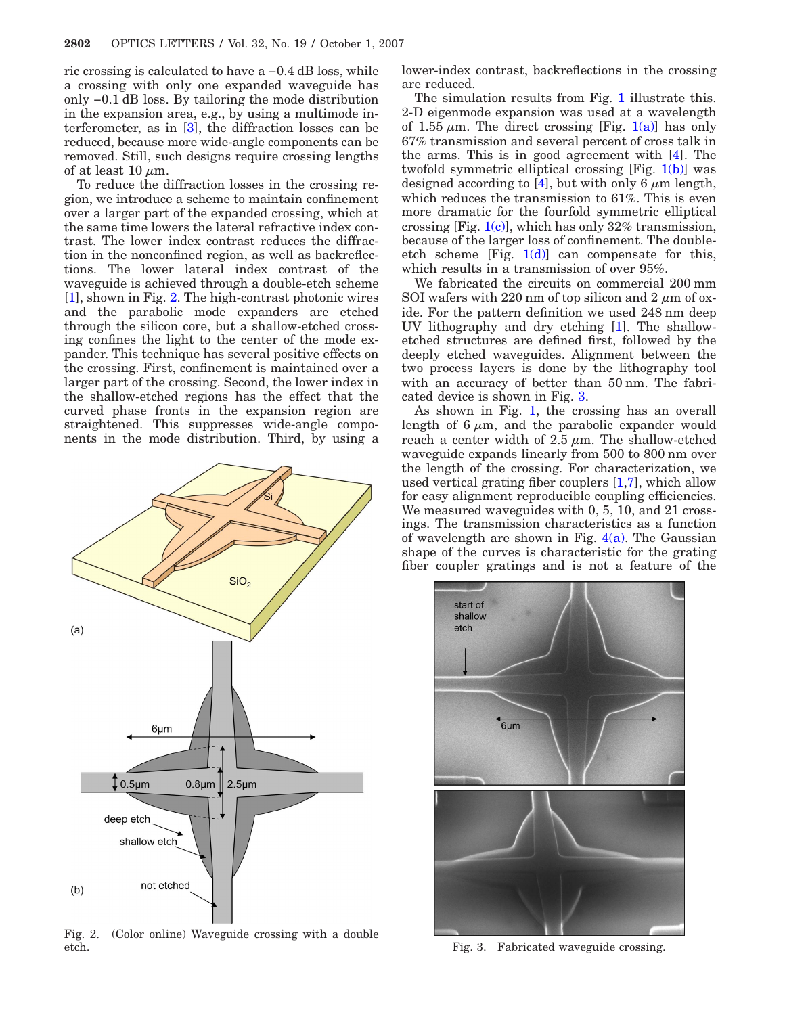ric crossing is calculated to have a −0.4 dB loss, while a crossing with only one expanded waveguide has only −0.1 dB loss. By tailoring the mode distribution in the expansion area, e.g., by using a multimode interferometer, as in [\[3\]](#page-2-2), the diffraction losses can be reduced, because more wide-angle components can be removed. Still, such designs require crossing lengths of at least 10  $\mu$ m.

To reduce the diffraction losses in the crossing region, we introduce a scheme to maintain confinement over a larger part of the expanded crossing, which at the same time lowers the lateral refractive index contrast. The lower index contrast reduces the diffraction in the nonconfined region, as well as backreflections. The lower lateral index contrast of the waveguide is achieved through a double-etch scheme [\[1\]](#page-2-0), shown in Fig. [2.](#page-1-0) The high-contrast photonic wires and the parabolic mode expanders are etched through the silicon core, but a shallow-etched crossing confines the light to the center of the mode expander. This technique has several positive effects on the crossing. First, confinement is maintained over a larger part of the crossing. Second, the lower index in the shallow-etched regions has the effect that the curved phase fronts in the expansion region are straightened. This suppresses wide-angle components in the mode distribution. Third, by using a

<span id="page-1-0"></span>

Fig. 2. (Color online) Waveguide crossing with a double etch. Fig. 3. Fabricated waveguide crossing.

lower-index contrast, backreflections in the crossing are reduced.

The simulation results from Fig. [1](#page-0-0) illustrate this. 2-D eigenmode expansion was used at a wavelength of 1.55  $\mu$ m. The direct crossing [Fig. [1\(a\)\]](#page-0-0) has only 67% transmission and several percent of cross talk in the arms. This is in good agreement with [\[4\]](#page-2-3). The twofold symmetric elliptical crossing [Fig. [1\(b\)\]](#page-0-0) was designed according to [\[4\]](#page-2-3), but with only 6  $\mu$ m length, which reduces the transmission to 61%. This is even more dramatic for the fourfold symmetric elliptical crossing [Fig.  $1(c)$ ], which has only 32% transmission, because of the larger loss of confinement. The doubleetch scheme [Fig.  $1(d)$ ] can compensate for this, which results in a transmission of over 95%.

We fabricated the circuits on commercial 200 mm SOI wafers with 220 nm of top silicon and 2  $\mu$ m of oxide. For the pattern definition we used 248 nm deep UV lithography and dry etching [\[1\]](#page-2-0). The shallowetched structures are defined first, followed by the deeply etched waveguides. Alignment between the two process layers is done by the lithography tool with an accuracy of better than 50 nm. The fabricated device is shown in Fig. [3.](#page-1-1)

As shown in Fig. [1,](#page-0-0) the crossing has an overall length of 6  $\mu$ m, and the parabolic expander would reach a center width of  $2.5 \mu m$ . The shallow-etched waveguide expands linearly from 500 to 800 nm over the length of the crossing. For characterization, we used vertical grating fiber couplers [\[1,](#page-2-0)[7\]](#page-2-6), which allow for easy alignment reproducible coupling efficiencies. We measured waveguides with 0, 5, 10, and 21 crossings. The transmission characteristics as a function of wavelength are shown in Fig.  $4(a)$ . The Gaussian shape of the curves is characteristic for the grating fiber coupler gratings and is not a feature of the

<span id="page-1-1"></span>